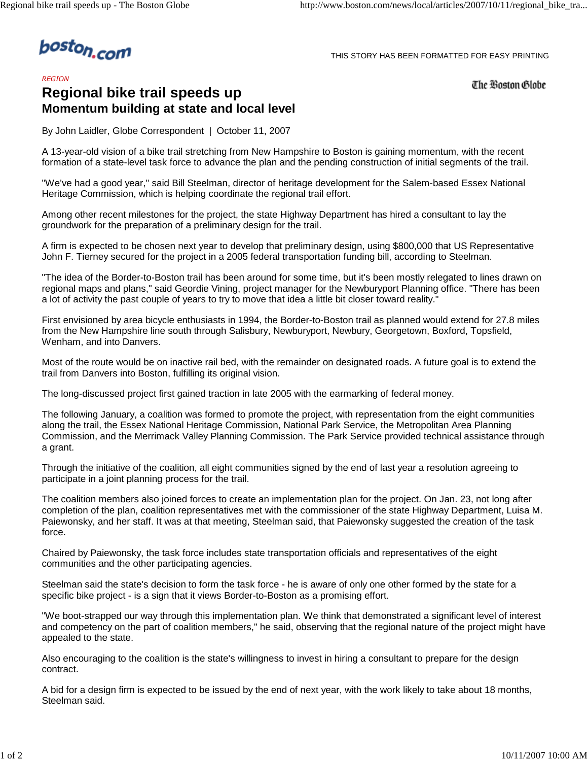boston.com

## THIS STORY HAS BEEN FORMATTED FOR EASY PRINTING

*REGION*

## **Regional bike trail speeds up Momentum building at state and local level**

The Boston Globe

By John Laidler, Globe Correspondent | October 11, 2007

A 13-year-old vision of a bike trail stretching from New Hampshire to Boston is gaining momentum, with the recent formation of a state-level task force to advance the plan and the pending construction of initial segments of the trail.

"We've had a good year," said Bill Steelman, director of heritage development for the Salem-based Essex National Heritage Commission, which is helping coordinate the regional trail effort.

Among other recent milestones for the project, the state Highway Department has hired a consultant to lay the groundwork for the preparation of a preliminary design for the trail.

A firm is expected to be chosen next year to develop that preliminary design, using \$800,000 that US Representative John F. Tierney secured for the project in a 2005 federal transportation funding bill, according to Steelman.

"The idea of the Border-to-Boston trail has been around for some time, but it's been mostly relegated to lines drawn on regional maps and plans," said Geordie Vining, project manager for the Newburyport Planning office. "There has been a lot of activity the past couple of years to try to move that idea a little bit closer toward reality."

First envisioned by area bicycle enthusiasts in 1994, the Border-to-Boston trail as planned would extend for 27.8 miles from the New Hampshire line south through Salisbury, Newburyport, Newbury, Georgetown, Boxford, Topsfield, Wenham, and into Danvers.

Most of the route would be on inactive rail bed, with the remainder on designated roads. A future goal is to extend the trail from Danvers into Boston, fulfilling its original vision.

The long-discussed project first gained traction in late 2005 with the earmarking of federal money.

The following January, a coalition was formed to promote the project, with representation from the eight communities along the trail, the Essex National Heritage Commission, National Park Service, the Metropolitan Area Planning Commission, and the Merrimack Valley Planning Commission. The Park Service provided technical assistance through a grant.

Through the initiative of the coalition, all eight communities signed by the end of last year a resolution agreeing to participate in a joint planning process for the trail.

The coalition members also joined forces to create an implementation plan for the project. On Jan. 23, not long after completion of the plan, coalition representatives met with the commissioner of the state Highway Department, Luisa M. Paiewonsky, and her staff. It was at that meeting, Steelman said, that Paiewonsky suggested the creation of the task force.

Chaired by Paiewonsky, the task force includes state transportation officials and representatives of the eight communities and the other participating agencies.

Steelman said the state's decision to form the task force - he is aware of only one other formed by the state for a specific bike project - is a sign that it views Border-to-Boston as a promising effort.

"We boot-strapped our way through this implementation plan. We think that demonstrated a significant level of interest and competency on the part of coalition members," he said, observing that the regional nature of the project might have appealed to the state.

Also encouraging to the coalition is the state's willingness to invest in hiring a consultant to prepare for the design contract.

A bid for a design firm is expected to be issued by the end of next year, with the work likely to take about 18 months, Steelman said.